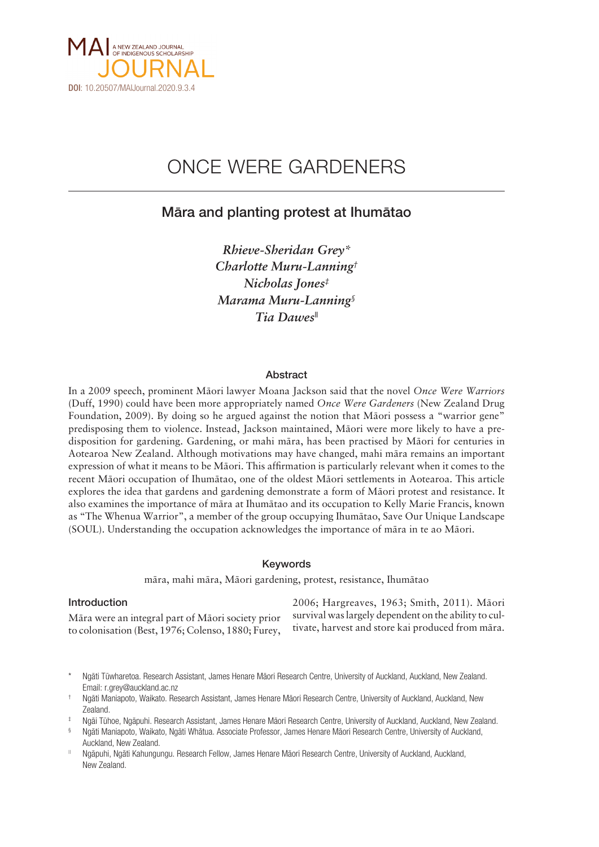

# ONCE WERE GARDENERS

# Mära and planting protest at Ihumätao

*Rhieve-Sheridan Grey\* Charlotte Muru-Lanning† Nicholas Jones‡ Marama Muru-Lanning§ Tia Dawes||*

### Abstract

In a 2009 speech, prominent Mäori lawyer Moana Jackson said that the novel *Once Were Warriors* (Duff, 1990) could have been more appropriately named *Once Were Gardeners* (New Zealand Drug Foundation, 2009). By doing so he argued against the notion that Mäori possess a "warrior gene" predisposing them to violence. Instead, Jackson maintained, Mäori were more likely to have a predisposition for gardening. Gardening, or mahi mära, has been practised by Mäori for centuries in Aotearoa New Zealand. Although motivations may have changed, mahi mära remains an important expression of what it means to be Mäori. This affirmation is particularly relevant when it comes to the recent Mäori occupation of Ihumätao, one of the oldest Mäori settlements in Aotearoa. This article explores the idea that gardens and gardening demonstrate a form of Mäori protest and resistance. It also examines the importance of mära at Ihumätao and its occupation to Kelly Marie Francis, known as "The Whenua Warrior", a member of the group occupying Ihumätao, Save Our Unique Landscape (SOUL). Understanding the occupation acknowledges the importance of mära in te ao Mäori.

#### Keywords

mära, mahi mära, Mäori gardening, protest, resistance, Ihumätao

#### Introduction

Mära were an integral part of Mäori society prior to colonisation (Best, 1976; Colenso, 1880; Furey, 2006; Hargreaves, 1963; Smith, 2011). Mäori survival was largely dependent on the ability to cultivate, harvest and store kai produced from mära.

Ngāti Tūwharetoa. Research Assistant, James Henare Māori Research Centre, University of Auckland, Auckland, New Zealand. Email: [r.grey@auckland.ac.nz](mailto:r.grey@auckland.ac.nz)

‡ Ngäi Tühoe, Ngäpuhi. Research Assistant, James Henare Mäori Research Centre, University of Auckland, Auckland, New Zealand.

|| Ngäpuhi, Ngäti Kahungungu. Research Fellow, James Henare Mäori Research Centre, University of Auckland, Auckland, New Zealand.

<sup>†</sup> Ngäti Maniapoto, Waikato. Research Assistant, James Henare Mäori Research Centre, University of Auckland, Auckland, New Zealand.

<sup>§</sup> Ngäti Maniapoto, Waikato, Ngäti Whätua. Associate Professor, James Henare Mäori Research Centre, University of Auckland, Auckland, New Zealand.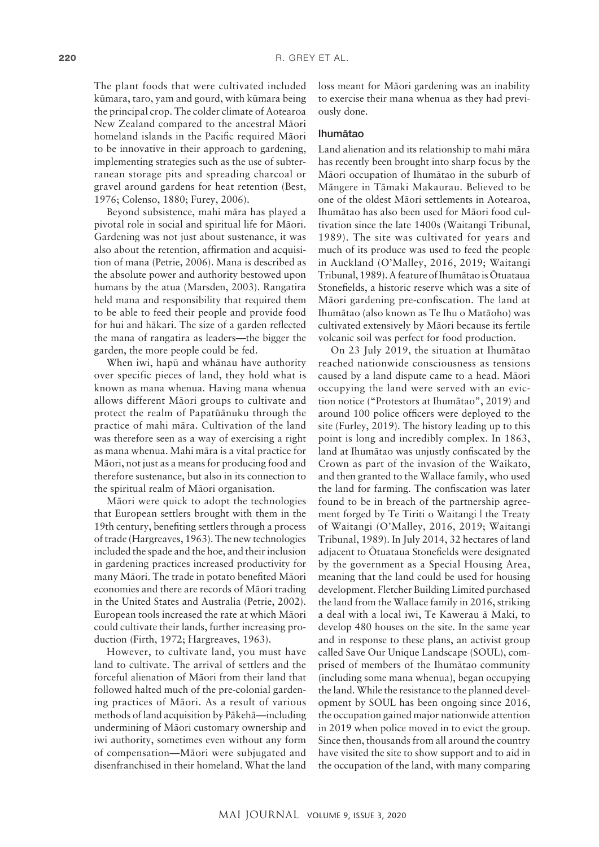The plant foods that were cultivated included kümara, taro, yam and gourd, with kümara being the principal crop. The colder climate of Aotearoa New Zealand compared to the ancestral Mäori homeland islands in the Pacific required Mäori to be innovative in their approach to gardening, implementing strategies such as the use of subterranean storage pits and spreading charcoal or gravel around gardens for heat retention (Best, 1976; Colenso, 1880; Furey, 2006).

Beyond subsistence, mahi mära has played a pivotal role in social and spiritual life for Mäori. Gardening was not just about sustenance, it was also about the retention, affirmation and acquisition of mana (Petrie, 2006). Mana is described as the absolute power and authority bestowed upon humans by the atua (Marsden, 2003). Rangatira held mana and responsibility that required them to be able to feed their people and provide food for hui and häkari. The size of a garden reflected the mana of rangatira as leaders—the bigger the garden, the more people could be fed.

When iwi, hapü and whänau have authority over specific pieces of land, they hold what is known as mana whenua. Having mana whenua allows different Mäori groups to cultivate and protect the realm of Papatüänuku through the practice of mahi mära. Cultivation of the land was therefore seen as a way of exercising a right as mana whenua. Mahi mära is a vital practice for Mäori, not just as a means for producing food and therefore sustenance, but also in its connection to the spiritual realm of Mäori organisation.

Mäori were quick to adopt the technologies that European settlers brought with them in the 19th century, benefiting settlers through a process of trade (Hargreaves, 1963). The new technologies included the spade and the hoe, and their inclusion in gardening practices increased productivity for many Mäori. The trade in potato benefited Mäori economies and there are records of Mäori trading in the United States and Australia (Petrie, 2002). European tools increased the rate at which Mäori could cultivate their lands, further increasing production (Firth, 1972; Hargreaves, 1963).

However, to cultivate land, you must have land to cultivate. The arrival of settlers and the forceful alienation of Mäori from their land that followed halted much of the pre-colonial gardening practices of Mäori. As a result of various methods of land acquisition by Päkehä—including undermining of Mäori customary ownership and iwi authority, sometimes even without any form of compensation—Mäori were subjugated and disenfranchised in their homeland. What the land

loss meant for Mäori gardening was an inability to exercise their mana whenua as they had previously done.

# Ihumätao

Land alienation and its relationship to mahi mära has recently been brought into sharp focus by the Mäori occupation of Ihumätao in the suburb of Mängere in Tämaki Makaurau. Believed to be one of the oldest Mäori settlements in Aotearoa, Ihumätao has also been used for Mäori food cultivation since the late 1400s (Waitangi Tribunal, 1989). The site was cultivated for years and much of its produce was used to feed the people in Auckland (O'Malley, 2016, 2019; Waitangi Tribunal, 1989). A feature of Ihumätao is Ötuataua Stonefields, a historic reserve which was a site of Mäori gardening pre-confiscation. The land at Ihumätao (also known as Te Ihu o Matäoho) was cultivated extensively by Mäori because its fertile volcanic soil was perfect for food production.

On 23 July 2019, the situation at Ihumätao reached nationwide consciousness as tensions caused by a land dispute came to a head. Mäori occupying the land were served with an eviction notice ("Protestors at Ihumätao", 2019) and around 100 police officers were deployed to the site (Furley, 2019). The history leading up to this point is long and incredibly complex. In 1863, land at Ihumätao was unjustly confiscated by the Crown as part of the invasion of the Waikato, and then granted to the Wallace family, who used the land for farming. The confiscation was later found to be in breach of the partnership agreement forged by Te Tiriti o Waitangi | the Treaty of Waitangi (O'Malley, 2016, 2019; Waitangi Tribunal, 1989). In July 2014, 32 hectares of land adjacent to Ötuataua Stonefields were designated by the government as a Special Housing Area, meaning that the land could be used for housing development. Fletcher Building Limited purchased the land from the Wallace family in 2016, striking a deal with a local iwi, Te Kawerau ä Maki, to develop 480 houses on the site. In the same year and in response to these plans, an activist group called Save Our Unique Landscape (SOUL), comprised of members of the Ihumätao community (including some mana whenua), began occupying the land. While the resistance to the planned development by SOUL has been ongoing since 2016, the occupation gained major nationwide attention in 2019 when police moved in to evict the group. Since then, thousands from all around the country have visited the site to show support and to aid in the occupation of the land, with many comparing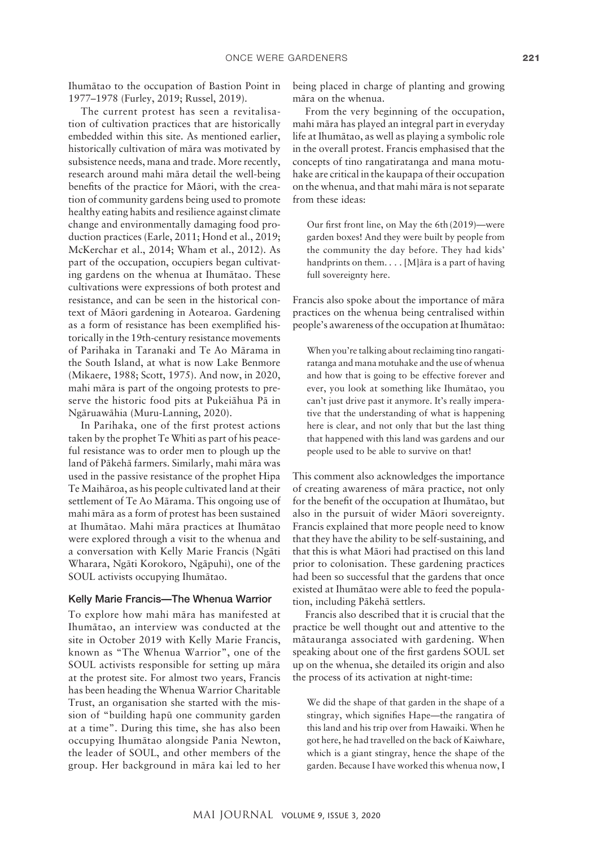Ihumätao to the occupation of Bastion Point in 1977–1978 (Furley, 2019; Russel, 2019).

The current protest has seen a revitalisation of cultivation practices that are historically embedded within this site. As mentioned earlier, historically cultivation of mära was motivated by subsistence needs, mana and trade. More recently, research around mahi mära detail the well-being benefits of the practice for Mäori, with the creation of community gardens being used to promote healthy eating habits and resilience against climate change and environmentally damaging food production practices (Earle, 2011; Hond et al., 2019; McKerchar et al., 2014; Wham et al., 2012). As part of the occupation, occupiers began cultivating gardens on the whenua at Ihumätao. These cultivations were expressions of both protest and resistance, and can be seen in the historical context of Mäori gardening in Aotearoa. Gardening as a form of resistance has been exemplified historically in the 19th-century resistance movements of Parihaka in Taranaki and Te Ao Märama in the South Island, at what is now Lake Benmore (Mikaere, 1988; Scott, 1975). And now, in 2020, mahi mära is part of the ongoing protests to preserve the historic food pits at Pukeiähua Pä in Ngäruawähia (Muru-Lanning, 2020).

In Parihaka, one of the first protest actions taken by the prophet Te Whiti as part of his peaceful resistance was to order men to plough up the land of Päkehä farmers. Similarly, mahi mära was used in the passive resistance of the prophet Hipa Te Maihäroa, as his people cultivated land at their settlement of Te Ao Märama. This ongoing use of mahi mära as a form of protest has been sustained at Ihumätao. Mahi mära practices at Ihumätao were explored through a visit to the whenua and a conversation with Kelly Marie Francis (Ngäti Wharara, Ngäti Korokoro, Ngäpuhi), one of the SOUL activists occupying Ihumätao.

### Kelly Marie Francis—The Whenua Warrior

To explore how mahi mära has manifested at Ihumätao, an interview was conducted at the site in October 2019 with Kelly Marie Francis, known as "The Whenua Warrior", one of the SOUL activists responsible for setting up mära at the protest site. For almost two years, Francis has been heading the Whenua Warrior Charitable Trust, an organisation she started with the mission of "building hapü one community garden at a time". During this time, she has also been occupying Ihumätao alongside Pania Newton, the leader of SOUL, and other members of the group. Her background in mära kai led to her

being placed in charge of planting and growing mära on the whenua.

From the very beginning of the occupation, mahi mära has played an integral part in everyday life at Ihumätao, as well as playing a symbolic role in the overall protest. Francis emphasised that the concepts of tino rangatiratanga and mana motuhake are critical in the kaupapa of their occupation on the whenua, and that mahi mära is not separate from these ideas:

Our first front line, on May the 6th (2019)—were garden boxes! And they were built by people from the community the day before. They had kids' handprints on them. . . . [M]ära is a part of having full sovereignty here.

Francis also spoke about the importance of mära practices on the whenua being centralised within people's awareness of the occupation at Ihumätao:

When you're talking about reclaiming tino rangatiratanga and mana motuhake and the use of whenua and how that is going to be effective forever and ever, you look at something like Ihumätao, you can't just drive past it anymore. It's really imperative that the understanding of what is happening here is clear, and not only that but the last thing that happened with this land was gardens and our people used to be able to survive on that!

This comment also acknowledges the importance of creating awareness of mära practice, not only for the benefit of the occupation at Ihumätao, but also in the pursuit of wider Mäori sovereignty. Francis explained that more people need to know that they have the ability to be self-sustaining, and that this is what Mäori had practised on this land prior to colonisation. These gardening practices had been so successful that the gardens that once existed at Ihumätao were able to feed the population, including Päkehä settlers.

Francis also described that it is crucial that the practice be well thought out and attentive to the mätauranga associated with gardening. When speaking about one of the first gardens SOUL set up on the whenua, she detailed its origin and also the process of its activation at night-time:

We did the shape of that garden in the shape of a stingray, which signifies Hape—the rangatira of this land and his trip over from Hawaiki. When he got here, he had travelled on the back of Kaiwhare, which is a giant stingray, hence the shape of the garden. Because I have worked this whenua now, I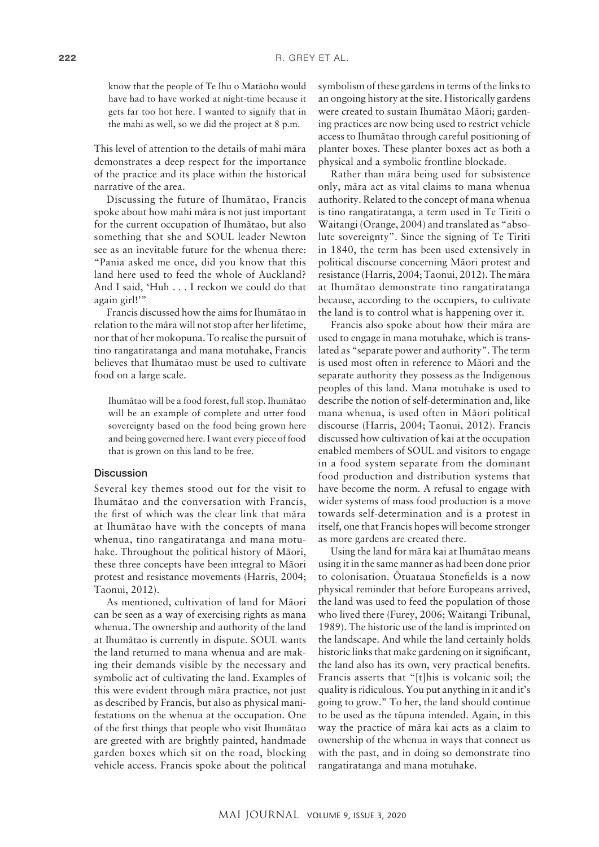know that the people of Te Ihu o Matäoho would have had to have worked at night-time because it gets far too hot here. I wanted to signify that in the mahi as well, so we did the project at 8 p.m.

This level of attention to the details of mahi mära demonstrates a deep respect for the importance of the practice and its place within the historical narrative of the area.

Discussing the future of Ihumätao, Francis spoke about how mahi mära is not just important for the current occupation of Ihumätao, but also something that she and SOUL leader Newton see as an inevitable future for the whenua there: "Pania asked me once, did you know that this land here used to feed the whole of Auckland? And I said, 'Huh . . . I reckon we could do that again girl!'"

Francis discussed how the aims for Ihumätao in relation to the mära will not stop after her lifetime, nor that of her mokopuna. To realise the pursuit of tino rangatiratanga and mana motuhake, Francis believes that Ihumätao must be used to cultivate food on a large scale.

Ihumätao will be a food forest, full stop. Ihumätao will be an example of complete and utter food sovereignty based on the food being grown here and being governed here. I want every piece of food that is grown on this land to be free.

#### **Discussion**

Several key themes stood out for the visit to Ihumätao and the conversation with Francis, the first of which was the clear link that mära at Ihumätao have with the concepts of mana whenua, tino rangatiratanga and mana motuhake. Throughout the political history of Mäori, these three concepts have been integral to Mäori protest and resistance movements (Harris, 2004; Taonui, 2012).

As mentioned, cultivation of land for Mäori can be seen as a way of exercising rights as mana whenua. The ownership and authority of the land at Ihumätao is currently in dispute. SOUL wants the land returned to mana whenua and are making their demands visible by the necessary and symbolic act of cultivating the land. Examples of this were evident through mära practice, not just as described by Francis, but also as physical manifestations on the whenua at the occupation. One of the first things that people who visit Ihumätao are greeted with are brightly painted, handmade garden boxes which sit on the road, blocking vehicle access. Francis spoke about the political

symbolism of these gardens in terms of the links to an ongoing history at the site. Historically gardens were created to sustain Ihumätao Mäori; gardening practices are now being used to restrict vehicle access to Ihumätao through careful positioning of planter boxes. These planter boxes act as both a physical and a symbolic frontline blockade.

Rather than mära being used for subsistence only, mära act as vital claims to mana whenua authority. Related to the concept of mana whenua is tino rangatiratanga, a term used in Te Tiriti o Waitangi (Orange, 2004) and translated as "absolute sovereignty". Since the signing of Te Tiriti in 1840, the term has been used extensively in political discourse concerning Mäori protest and resistance (Harris, 2004; Taonui, 2012). The mära at Ihumätao demonstrate tino rangatiratanga because, according to the occupiers, to cultivate the land is to control what is happening over it.

Francis also spoke about how their mära are used to engage in mana motuhake, which is translated as "separate power and authority". The term is used most often in reference to Mäori and the separate authority they possess as the Indigenous peoples of this land. Mana motuhake is used to describe the notion of self-determination and, like mana whenua, is used often in Mäori political discourse (Harris, 2004; Taonui, 2012). Francis discussed how cultivation of kai at the occupation enabled members of SOUL and visitors to engage in a food system separate from the dominant food production and distribution systems that have become the norm. A refusal to engage with wider systems of mass food production is a move towards self-determination and is a protest in itself, one that Francis hopes will become stronger as more gardens are created there.

Using the land for mära kai at Ihumätao means using it in the same manner as had been done prior to colonisation. Ötuataua Stonefields is a now physical reminder that before Europeans arrived, the land was used to feed the population of those who lived there (Furey, 2006; Waitangi Tribunal, 1989). The historic use of the land is imprinted on the landscape. And while the land certainly holds historic links that make gardening on it significant, the land also has its own, very practical benefits. Francis asserts that "[t]his is volcanic soil; the quality is ridiculous. You put anything in it and it's going to grow." To her, the land should continue to be used as the tüpuna intended. Again, in this way the practice of mära kai acts as a claim to ownership of the whenua in ways that connect us with the past, and in doing so demonstrate tino rangatiratanga and mana motuhake.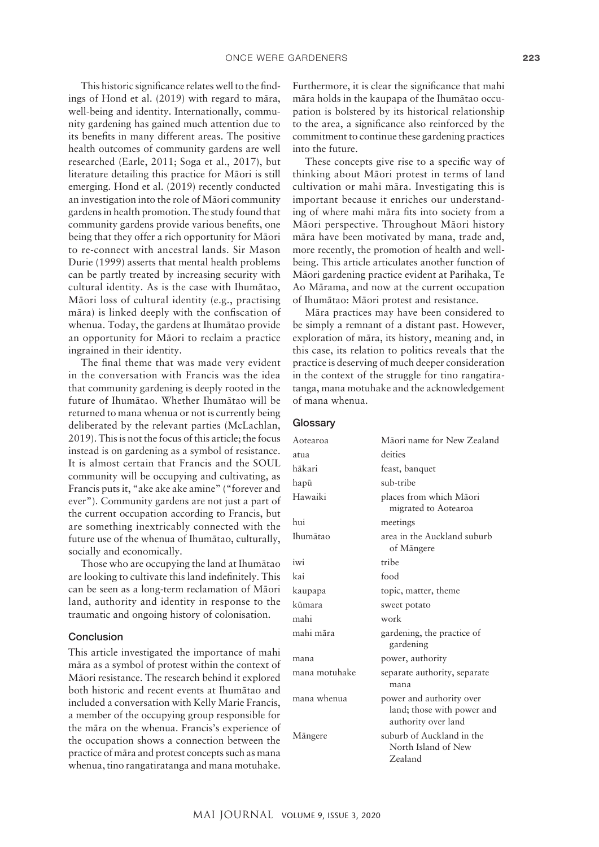This historic significance relates well to the findings of Hond et al. (2019) with regard to mära, well-being and identity. Internationally, community gardening has gained much attention due to its benefits in many different areas. The positive health outcomes of community gardens are well researched (Earle, 2011; Soga et al., 2017), but literature detailing this practice for Mäori is still emerging. Hond et al. (2019) recently conducted an investigation into the role of Mäori community gardens in health promotion. The study found that community gardens provide various benefits, one being that they offer a rich opportunity for Mäori to re-connect with ancestral lands. Sir Mason Durie (1999) asserts that mental health problems can be partly treated by increasing security with cultural identity. As is the case with Ihumätao, Mäori loss of cultural identity (e.g., practising mära) is linked deeply with the confiscation of whenua. Today, the gardens at Ihumätao provide an opportunity for Mäori to reclaim a practice ingrained in their identity.

The final theme that was made very evident in the conversation with Francis was the idea that community gardening is deeply rooted in the future of Ihumätao. Whether Ihumätao will be returned to mana whenua or not is currently being deliberated by the relevant parties (McLachlan, 2019). This is not the focus of this article; the focus instead is on gardening as a symbol of resistance. It is almost certain that Francis and the SOUL community will be occupying and cultivating, as Francis puts it, "ake ake ake amine" ("forever and ever"). Community gardens are not just a part of the current occupation according to Francis, but are something inextricably connected with the future use of the whenua of Ihumätao, culturally, socially and economically.

Those who are occupying the land at Ihumätao are looking to cultivate this land indefinitely. This can be seen as a long-term reclamation of Mäori land, authority and identity in response to the traumatic and ongoing history of colonisation.

# Conclusion

This article investigated the importance of mahi mära as a symbol of protest within the context of Mäori resistance. The research behind it explored both historic and recent events at Ihumätao and included a conversation with Kelly Marie Francis, a member of the occupying group responsible for the mära on the whenua. Francis's experience of the occupation shows a connection between the practice of mära and protest concepts such as mana whenua, tino rangatiratanga and mana motuhake.

Furthermore, it is clear the significance that mahi mära holds in the kaupapa of the Ihumätao occupation is bolstered by its historical relationship to the area, a significance also reinforced by the commitment to continue these gardening practices into the future.

These concepts give rise to a specific way of thinking about Mäori protest in terms of land cultivation or mahi mära. Investigating this is important because it enriches our understanding of where mahi mära fits into society from a Mäori perspective. Throughout Mäori history mära have been motivated by mana, trade and, more recently, the promotion of health and wellbeing. This article articulates another function of Mäori gardening practice evident at Parihaka, Te Ao Märama, and now at the current occupation of Ihumätao: Mäori protest and resistance.

Mära practices may have been considered to be simply a remnant of a distant past. However, exploration of mära, its history, meaning and, in this case, its relation to politics reveals that the practice is deserving of much deeper consideration in the context of the struggle for tino rangatiratanga, mana motuhake and the acknowledgement of mana whenua.

#### **Glossary**

| Māori name for New Zealand                                                    |
|-------------------------------------------------------------------------------|
| deities                                                                       |
| feast, banquet                                                                |
| sub-tribe                                                                     |
| places from which Māori<br>migrated to Aotearoa                               |
| meetings                                                                      |
| area in the Auckland suburb<br>of Mängere                                     |
| tribe                                                                         |
| food                                                                          |
| topic, matter, theme                                                          |
| sweet potato                                                                  |
| work                                                                          |
| gardening, the practice of<br>gardening                                       |
| power, authority                                                              |
| separate authority, separate<br>mana                                          |
| power and authority over<br>land; those with power and<br>authority over land |
| suburb of Auckland in the<br>North Island of New<br>Zealand                   |
|                                                                               |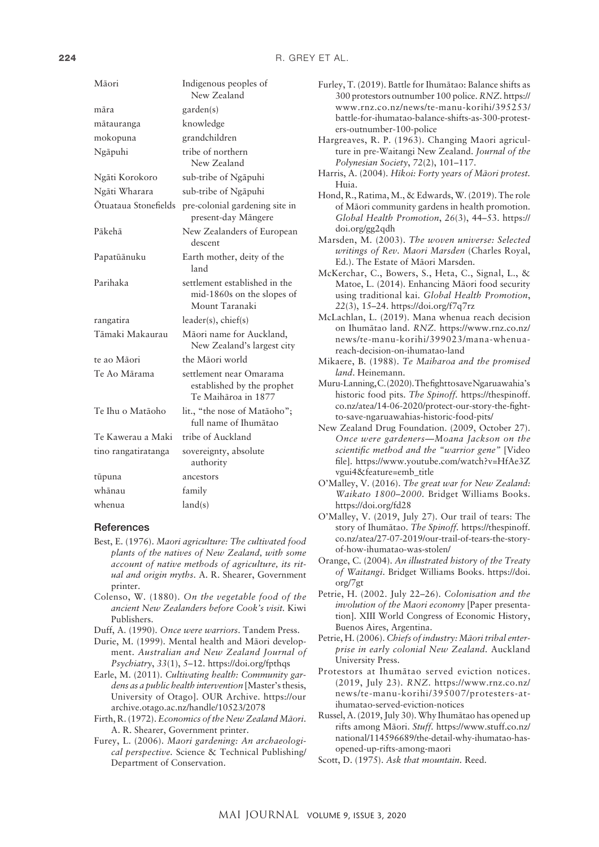| Māori                | Indigenous peoples of<br>New Zealand                                          |
|----------------------|-------------------------------------------------------------------------------|
| māra                 | garden(s)                                                                     |
| mātauranga           | knowledge                                                                     |
| mokopuna             | grandchildren                                                                 |
| Ngāpuhi              | tribe of northern<br>New Zealand                                              |
| Ngāti Korokoro       | sub-tribe of Ngāpuhi                                                          |
| Ngāti Wharara        | sub-tribe of Ngāpuhi                                                          |
| Ōtuataua Stonefields | pre-colonial gardening site in<br>present-day Mängere                         |
| Pākehā               | New Zealanders of European<br>descent                                         |
| Papatūānuku          | Earth mother, deity of the<br>land                                            |
| Parihaka             | settlement established in the<br>mid-1860s on the slopes of<br>Mount Taranaki |
| rangatira            | leader(s), chief(s)                                                           |
| Tāmaki Makaurau      | Māori name for Auckland,<br>New Zealand's largest city                        |
| te ao Māori          | the Māori world                                                               |
| Te Ao Mārama         | settlement near Omarama<br>established by the prophet<br>Te Maihāroa in 1877  |
| Te Ihu o Matāoho     | lit., "the nose of Mataoho";<br>full name of Ihumātao                         |
| Te Kawerau a Maki    | tribe of Auckland                                                             |
| tino rangatiratanga  | sovereignty, absolute<br>authority                                            |
| tūpuna               | ancestors                                                                     |
| whānau               | family                                                                        |
| whenua               | land(s)                                                                       |
|                      |                                                                               |

#### **References**

- Best, E. (1976). *Maori agriculture: The cultivated food plants of the natives of New Zealand, with some account of native methods of agriculture, its ritual and origin myths*. A. R. Shearer, Government printer.
- Colenso, W. (1880). *On the vegetable food of the ancient New Zealanders before Cook's visit.* Kiwi Publishers.
- Duff, A. (1990). *Once were warriors*. Tandem Press.
- Durie, M. (1999). Mental health and Mäori development. *Australian and New Zealand Journal of Psychiatry*, *33*(1), 5–12. <https://doi.org/fpthqs>
- Earle, M. (2011). *Cultivating health: Community gardens as a public health intervention* [Master's thesis, University of Otago]. OUR Archive. [https://our](https://ourarchive.otago.ac.nz/handle/10523/2078) [archive.otago.ac.nz/handle/10523/2078](https://ourarchive.otago.ac.nz/handle/10523/2078)
- Firth, R. (1972). *Economics of the New Zealand Mäori*. A. R. Shearer, Government printer.
- Furey, L. (2006). *Maori gardening: An archaeological perspective.* Science & Technical Publishing/ Department of Conservation.
- Furley, T. (2019). Battle for Ihumätao: Balance shifts as 300 protestors outnumber 100 police. *RNZ*. [https://](https://www.rnz.co.nz/news/te-manu-korihi/395253/battle-for-ihumatao-balance-shifts-as-300-protesters-outnumber-100-police) [www.rnz.co.nz/news/te-manu-korihi/395253/](https://www.rnz.co.nz/news/te-manu-korihi/395253/battle-for-ihumatao-balance-shifts-as-300-protesters-outnumber-100-police) [battle-for-ihumatao-balance-shifts-as-300-protest](https://www.rnz.co.nz/news/te-manu-korihi/395253/battle-for-ihumatao-balance-shifts-as-300-protesters-outnumber-100-police)[ers-outnumber-100-police](https://www.rnz.co.nz/news/te-manu-korihi/395253/battle-for-ihumatao-balance-shifts-as-300-protesters-outnumber-100-police)
- Hargreaves, R. P. (1963). Changing Maori agriculture in pre-Waitangi New Zealand. *Journal of the Polynesian Society*, *72*(2), 101–117.
- Harris, A. (2004). *Hïkoi: Forty years of Mäori protest.*  Huia.
- Hond, R., Ratima, M., & Edwards, W. (2019). The role of Mäori community gardens in health promotion. *Global Health Promotion*, *26*(3), 44–53. [https://](https://doi.org/gg2qdh) [doi.org/gg2qdh](https://doi.org/gg2qdh)
- Marsden, M. (2003). *The woven universe: Selected writings of Rev. Maori Marsden* (Charles Royal, Ed.). The Estate of Mäori Marsden.
- McKerchar, C., Bowers, S., Heta, C., Signal, L., & Matoe, L. (2014). Enhancing Mäori food security using traditional kai. *Global Health Promotion*, *22*(3), 15–24. <https://doi.org/f7q7rz>
- McLachlan, L. (2019). Mana whenua reach decision on Ihumätao land. *RNZ.* [https://www.rnz.co.nz/](https://www.rnz.co.nz/news/te-manu-korihi/399023/mana-whenua-reach-decision-on-ihumatao-land) [news/te-manu-korihi/399023/mana-whenua](https://www.rnz.co.nz/news/te-manu-korihi/399023/mana-whenua-reach-decision-on-ihumatao-land)[reach-decision-on-ihumatao-land](https://www.rnz.co.nz/news/te-manu-korihi/399023/mana-whenua-reach-decision-on-ihumatao-land)
- Mikaere, B. (1988). *Te Maiharoa and the promised land*. Heinemann.
- Muru-Lanning, C. (2020). The fight to save Ngaruawahia's historic food pits. *The Spinoff.* [https://thespinoff.](https://thespinoff.co.nz/atea/14-06-2020/protect-our-story-the-fight-to-save-ngaruawahias-historic-food-pits/) [co.nz/atea/14-06-2020/protect-our-story-the-fight](https://thespinoff.co.nz/atea/14-06-2020/protect-our-story-the-fight-to-save-ngaruawahias-historic-food-pits/)[to-save-ngaruawahias-historic-food-pits/](https://thespinoff.co.nz/atea/14-06-2020/protect-our-story-the-fight-to-save-ngaruawahias-historic-food-pits/)
- New Zealand Drug Foundation. (2009, October 27). *Once were gardeners—Moana Jackson on the scientific method and the "warrior gene"* [Video file]. https://www.youtube.com/watch?v=HfAe3Z vgui4&feature=emb\_title
- O'Malley, V. (2016). *The great war for New Zealand: Waikato 1800–2000.* Bridget Williams Books. <https://doi.org/fd28>
- O'Malley, V. (2019, July 27). Our trail of tears: The story of Ihumätao. *The Spinoff.* [https://thespinoff.](https://thespinoff.co.nz/atea/27-07-2019/our-trail-of-tears-the-story-of-how-ihumatao-was-stolen/) [co.nz/atea/27-07-2019/our-trail-of-tears-the-story](https://thespinoff.co.nz/atea/27-07-2019/our-trail-of-tears-the-story-of-how-ihumatao-was-stolen/)[of-how-ihumatao-was-stolen/](https://thespinoff.co.nz/atea/27-07-2019/our-trail-of-tears-the-story-of-how-ihumatao-was-stolen/)
- Orange, C. (2004). *An illustrated history of the Treaty of Waitangi*. Bridget Williams Books. [https://doi.](https://doi.org/7gt) [org/7gt](https://doi.org/7gt)
- Petrie, H. (2002. July 22–26). *Colonisation and the involution of the Maori economy* [Paper presentation]. XIII World Congress of Economic History, Buenos Aires, Argentina.
- Petrie, H. (2006). *Chiefs of industry: Mäori tribal enterprise in early colonial New Zealand.* Auckland University Press.
- Protestors at Ihumätao served eviction notices. (2019, July 23). *RNZ*. [https://www.rnz.co.nz/](https://www.rnz.co.nz/news/te-manu-korihi/395007/protesters-at-ihumatao-served-eviction-notices) [news/te-manu-korihi/395007/protesters-at](https://www.rnz.co.nz/news/te-manu-korihi/395007/protesters-at-ihumatao-served-eviction-notices)[ihumatao-served-eviction-notices](https://www.rnz.co.nz/news/te-manu-korihi/395007/protesters-at-ihumatao-served-eviction-notices)
- Russel, A. (2019, July 30). Why Ihumätao has opened up rifts among Mäori. *Stuff.* [https://www.stuff.co.nz/](https://www.stuff.co.nz/national/114596689/the-detail-why-ihumatao-has-opened-up-rifts-among-maori) [national/114596689/the-detail-why-ihumatao-has](https://www.stuff.co.nz/national/114596689/the-detail-why-ihumatao-has-opened-up-rifts-among-maori)[opened-up-rifts-among-maori](https://www.stuff.co.nz/national/114596689/the-detail-why-ihumatao-has-opened-up-rifts-among-maori)
- Scott, D. (1975). *Ask that mountain.* Reed.